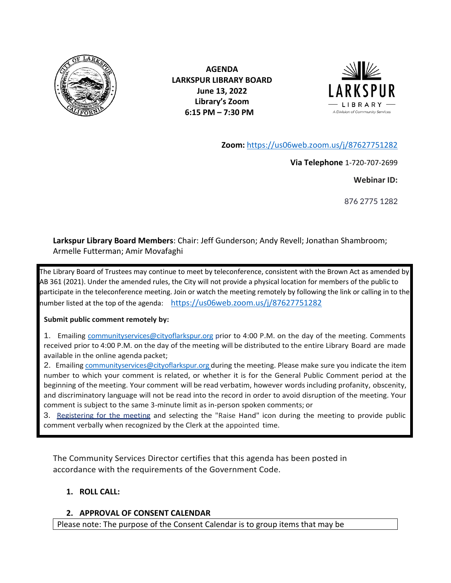

**AGENDA LARKSPUR LIBRARY BOARD June 13, 2022 Library's Zoom 6:15 PM – 7:30 PM** 



**Zoom:** <https://us06web.zoom.us/j/87627751282>

**Via Telephone** 1-720-707-2699

**Webinar ID:**

876 2775 1282

**Larkspur Library Board Members**: Chair: Jeff Gunderson; Andy Revell; Jonathan Shambroom; Armelle Futterman; Amir Movafaghi

The Library Board of Trustees may continue to meet by teleconference, consistent with the Brown Act as amended by AB 361 (2021). Under the amended rules, the City will not provide a physical location for members of the public to participate in the teleconference meeting. Join or watch the meeting remotely by following the link or calling in to the number listed at the top of the agenda: <https://us06web.zoom.us/j/87627751282>

#### **Submit public comment remotely by:**

1. Emailing [communityservices@cityoflarkspur.org](mailto:communityservices@cityoflarkspur.org) prior to 4:00 P.M. on the day of the meeting. Comments received prior to 4:00 P.M. on the day of the meeting will be distributed to the entire Library Board are made available in the online agenda packet;

2. Emailing [communityservices@cityoflarkspur.org d](mailto:communityservices@cityoflarkspur.org)uring the meeting. Please make sure you indicate the item number to which your comment is related, or whether it is for the General Public Comment period at the beginning of the meeting. Your comment will be read verbatim, however wordsincluding profanity, obscenity, and discriminatory language will not be read into the record in order to avoid disruption of the meeting. Your comment is subject to the same 3-minute limit as in-person spoken comments; or

3. Registering for the meeting and selecting the "Raise Hand" icon during the meeting to provide public comment verbally when recognized by the Clerk at the appointed time.

The Community Services Director certifies that this agenda has been posted in accordance with the requirements of the Government Code.

#### **1. ROLL CALL:**

#### **2. APPROVAL OF CONSENT CALENDAR**

Please note: The purpose of the Consent Calendar is to group items that may be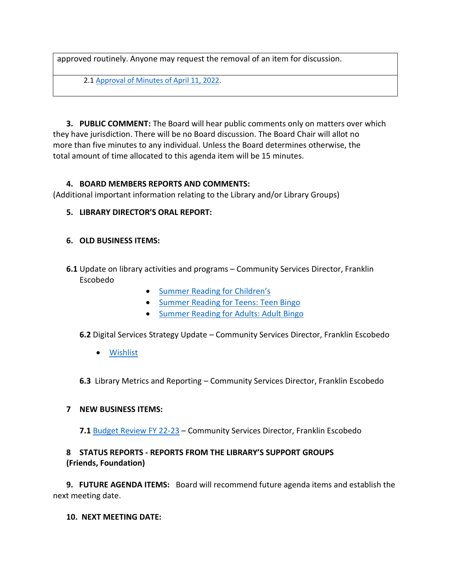approved routinely. Anyone may request the removal of an item for discussion.

2.1 [Approval of Minutes of](https://www.ci.larkspur.ca.us/DocumentCenter/View/14906/LARKLIB4-11-22-DRAFT) April 11, 2022.

**3. PUBLIC COMMENT:** The Board will hear public comments only on matters over which they have jurisdiction. There will be no Board discussion. The Board Chair will allot no more than five minutes to any individual. Unless the Board determines otherwise, the total amount of time allocated to this agenda item will be 15 minutes.

### **4. BOARD MEMBERS REPORTS AND COMMENTS:**

(Additional important information relating to the Library and/or Library Groups)

# **5. LIBRARY DIRECTOR'S ORAL REPORT:**

### **6. OLD BUSINESS ITEMS:**

- **6.1** Update on library activities and programs Community Services Director, Franklin Escobedo
	- [Summer Reading for Children's](https://www.ci.larkspur.ca.us/DocumentCenter/View/15052/Larkspur-Library-2022-Summer-Reading-Beanstack)
	- [Summer Reading for Teens: Teen Bingo](https://www.ci.larkspur.ca.us/DocumentCenter/View/15028/Teen-Summer-Reading-Bingo-Card-2022)
	- [Summer Reading for Adults: Adult Bingo](https://www.ci.larkspur.ca.us/DocumentCenter/View/15027/2022-Summer-Reading-Bingo-Card-Adult)

**6.2** Digital Services Strategy Update – Community Services Director, Franklin Escobedo

• [Wishlist](https://www.ci.larkspur.ca.us/DocumentCenter/View/12575/Wishlist-2020-)

**6.3** Library Metrics and Reporting – Community Services Director, Franklin Escobedo

## **7 NEW BUSINESS ITEMS:**

**7.1** [Budget Review FY 22-23](https://www.ci.larkspur.ca.us/DocumentCenter/View/14907/Community-Services-BP-FY-22-23) – Community Services Director, Franklin Escobedo

# **8 STATUS REPORTS - REPORTS FROM THE LIBRARY'S SUPPORT GROUPS (Friends, Foundation)**

**9. FUTURE AGENDA ITEMS:** Board will recommend future agenda items and establish the next meeting date.

**10. NEXT MEETING DATE:**